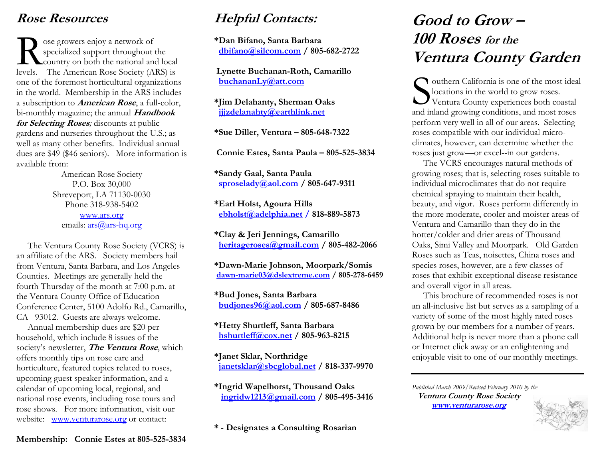## **Rose Resources**

ose growers enjoy a network of specialized support throughout the So express enjoy a network of<br>specialized support throughout the<br>country on both the national and local levels. The American Rose Society (ARS) is one of the foremost horticultural organizations in the world. Membership in the ARS includes a subscription to **American Rose**, a full-color, bi-monthly magazine; the annual **Handbook for Selecting Roses***;* discounts at public gardens and nurseries throughout the U.S.; as well as many other benefits. Individual annual dues are \$49 (\$46 seniors). More information is available from:

American Rose Society P.O. Box 30,000 Shreveport, LA 71130-0030 Phone 318-938-5402 www.ars.org emails: ars@ars-hq.org

 The Ventura County Rose Society (VCRS) is an affiliate of the ARS. Society members hail from Ventura, Santa Barbara, and Los Angeles Counties. Meetings are generally held the fourth Thursday of the month at 7:00 p.m. at the Ventura County Office of Education Conference Center, 5100 Adolfo Rd., Camarillo, CA 93012. Guests are always welcome.

 Annual membership dues are \$20 per household, which include 8 issues of the society's newsletter, **The Ventura Rose**, which offers monthly tips on rose care and horticulture, featured topics related to roses, upcoming guest speaker information, and a calendar of upcoming local, regional, and national rose events, including rose tours and rose shows. For more information, visit our website: www.venturarose.org or contact:

## **Helpful Contacts:**

**\*Dan Bifano, Santa Barbara dbifano@silcom.com / 805-682-2722** 

 **Lynette Buchanan-Roth, Camarillo buchananLy@att.com**

**\*Jim Delahanty, Sherman Oaks jjjzdelanahty@earthlink.net**

**\*Sue Diller, Ventura – 805-648-7322** 

 **Connie Estes, Santa Paula – 805-525-3834** 

**\*Sandy Gaal, Santa Paula sproselady@aol.com / 805-647-9311** 

**\*Earl Holst, Agoura Hills ebholst@adelphia.net / 818-889-5873** 

**\*Clay & Jeri Jennings, Camarillo heritageroses@gmail.com / 805-482-2066** 

**\*Dawn-Marie Johnson, Moorpark/Somis dawn-marie03@dslextreme.com / 805-278-6459** 

**\*Bud Jones, Santa Barbara budjones96@aol.com / 805-687-8486** 

**\*Hetty Shurtleff, Santa Barbara hshurtleff@cox.net / 805-963-8215** 

**\*Janet Sklar, Northridge janetsklar@sbcglobal.net / 818-337-9970** 

**\*Ingrid Wapelhorst, Thousand Oaks ingridw1213@gmail.com / 805-495-3416** 

**\*** - **Designates a Consulting Rosarian** 

# **Good to Grow – 100 Roses for theVentura County Garden**

outhern California is one of the most ideal locations in the world to grow roses. Southern California is one of the most idea<br>locations in the world to grow roses.<br>Ventura County experiences both coastal and inland growing conditions, and most roses perform very well in all of our areas. Selecting roses compatible with our individual microclimates, however, can determine whether the roses just grow—or excel--in our gardens.

 The VCRS encourages natural methods of growing roses; that is, selecting roses suitable to individual microclimates that do not require chemical spraying to maintain their health, beauty, and vigor. Roses perform differently in the more moderate, cooler and moister areas of Ventura and Camarillo than they do in the hotter/colder and drier areas of Thousand Oaks, Simi Valley and Moorpark. Old Garden Roses such as Teas, noisettes, China roses and species roses, however, are a few classes of roses that exhibit exceptional disease resistance and overall vigor in all areas.

 This brochure of recommended roses is not an all-inclusive list but serves as a sampling of a variety of some of the most highly rated roses grown by our members for a number of years. Additional help is never more than a phone call or Internet click away or an enlightening and enjoyable visit to one of our monthly meetings.

*Published March 2009/Revised February 2010 by the*  **Ventura County Rose Society www.venturarose.org**